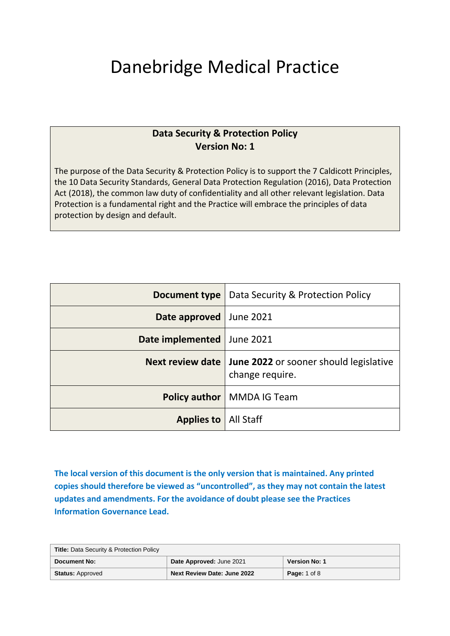# Danebridge Medical Practice

### **Data Security & Protection Policy Version No: 1**

The purpose of the Data Security & Protection Policy is to support the 7 Caldicott Principles, the 10 Data Security Standards, General Data Protection Regulation (2016), Data Protection Act (2018), the common law duty of confidentiality and all other relevant legislation. Data Protection is a fundamental right and the Practice will embrace the principles of data protection by design and default.

| Document type                 | Data Security & Protection Policy                                                   |
|-------------------------------|-------------------------------------------------------------------------------------|
| Date approved June 2021       |                                                                                     |
| Date implemented              | June 2021                                                                           |
|                               | <b>Next review date   June 2022</b> or sooner should legislative<br>change require. |
|                               | <b>Policy author</b>   MMDA IG Team                                                 |
| <b>Applies to</b>   All Staff |                                                                                     |

**The local version of this document is the only version that is maintained. Any printed copies should therefore be viewed as "uncontrolled", as they may not contain the latest updates and amendments. For the avoidance of doubt please see the Practices Information Governance Lead.**

| <b>Title: Data Security &amp; Protection Policy</b> |                                    |                      |
|-----------------------------------------------------|------------------------------------|----------------------|
| Document No:                                        | Date Approved: June 2021           | <b>Version No: 1</b> |
| <b>Status: Approved</b>                             | <b>Next Review Date: June 2022</b> | <b>Page:</b> 1 of 8  |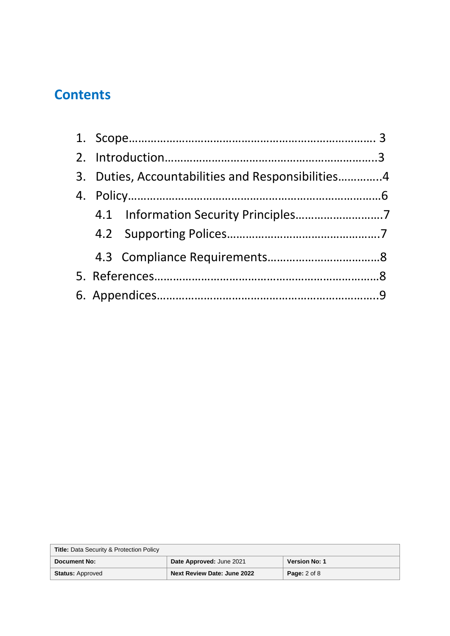## **Contents**

|  | 3. Duties, Accountabilities and Responsibilities4 |  |
|--|---------------------------------------------------|--|
|  |                                                   |  |
|  |                                                   |  |
|  |                                                   |  |
|  |                                                   |  |
|  |                                                   |  |
|  |                                                   |  |

| <b>Title: Data Security &amp; Protection Policy</b> |                             |                      |
|-----------------------------------------------------|-----------------------------|----------------------|
| <b>Document No:</b>                                 | Date Approved: June 2021    | <b>Version No: 1</b> |
| <b>Status: Approved</b>                             | Next Review Date: June 2022 | <b>Page:</b> 2 of 8  |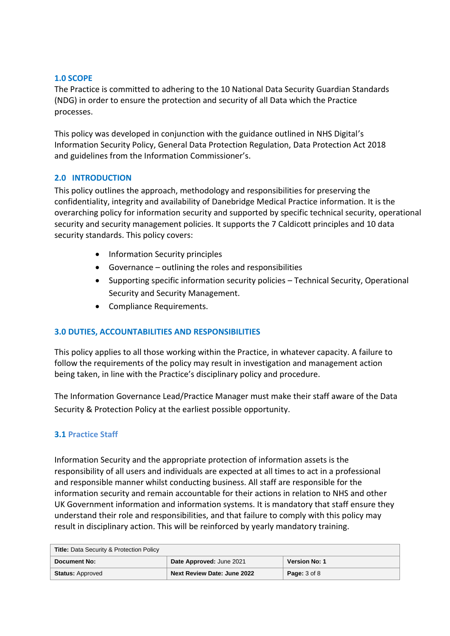#### **1.0 SCOPE**

The Practice is committed to adhering to the 10 National Data Security Guardian Standards (NDG) in order to ensure the protection and security of all Data which the Practice processes.

This policy was developed in conjunction with the guidance outlined in NHS Digital's Information Security Policy, General Data Protection Regulation, Data Protection Act 2018 and guidelines from the Information Commissioner's.

#### **2.0 INTRODUCTION**

This policy outlines the approach, methodology and responsibilities for preserving the confidentiality, integrity and availability of Danebridge Medical Practice information. It is the overarching policy for information security and supported by specific technical security, operational security and security management policies. It supports the 7 Caldicott principles and 10 data security standards. This policy covers:

- Information Security principles
- Governance outlining the roles and responsibilities
- Supporting specific information security policies Technical Security, Operational Security and Security Management.
- Compliance Requirements.

#### **3.0 DUTIES, ACCOUNTABILITIES AND RESPONSIBILITIES**

This policy applies to all those working within the Practice, in whatever capacity. A failure to follow the requirements of the policy may result in investigation and management action being taken, in line with the Practice's disciplinary policy and procedure.

The Information Governance Lead/Practice Manager must make their staff aware of the Data Security & Protection Policy at the earliest possible opportunity.

#### **3.1 Practice Staff**

Information Security and the appropriate protection of information assets is the responsibility of all users and individuals are expected at all times to act in a professional and responsible manner whilst conducting business. All staff are responsible for the information security and remain accountable for their actions in relation to NHS and other UK Government information and information systems. It is mandatory that staff ensure they understand their role and responsibilities, and that failure to comply with this policy may result in disciplinary action. This will be reinforced by yearly mandatory training.

| <b>Title: Data Security &amp; Protection Policy</b> |                                    |                      |
|-----------------------------------------------------|------------------------------------|----------------------|
| <b>Document No:</b>                                 | Date Approved: June 2021           | <b>Version No: 1</b> |
| <b>Status: Approved</b>                             | <b>Next Review Date: June 2022</b> | <b>Page: 3 of 8</b>  |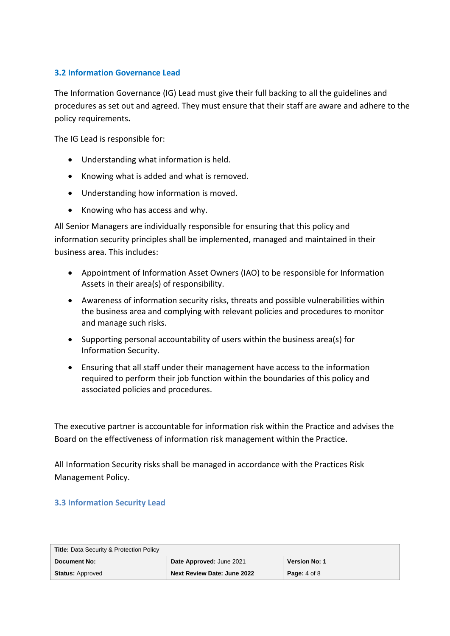#### **3.2 Information Governance Lead**

The Information Governance (IG) Lead must give their full backing to all the guidelines and procedures as set out and agreed. They must ensure that their staff are aware and adhere to the policy requirements**.**

The IG Lead is responsible for:

- Understanding what information is held.
- Knowing what is added and what is removed.
- Understanding how information is moved.
- Knowing who has access and why.

All Senior Managers are individually responsible for ensuring that this policy and information security principles shall be implemented, managed and maintained in their business area. This includes:

- Appointment of Information Asset Owners (IAO) to be responsible for Information Assets in their area(s) of responsibility.
- Awareness of information security risks, threats and possible vulnerabilities within the business area and complying with relevant policies and procedures to monitor and manage such risks.
- Supporting personal accountability of users within the business area(s) for Information Security.
- Ensuring that all staff under their management have access to the information required to perform their job function within the boundaries of this policy and associated policies and procedures.

The executive partner is accountable for information risk within the Practice and advises the Board on the effectiveness of information risk management within the Practice.

All Information Security risks shall be managed in accordance with the Practices Risk Management Policy.

#### **3.3 Information Security Lead**

| <b>Title: Data Security &amp; Protection Policy</b> |                                    |                      |
|-----------------------------------------------------|------------------------------------|----------------------|
| Document No:                                        | Date Approved: June 2021           | <b>Version No: 1</b> |
| <b>Status: Approved</b>                             | <b>Next Review Date: June 2022</b> | <b>Page:</b> 4 of 8  |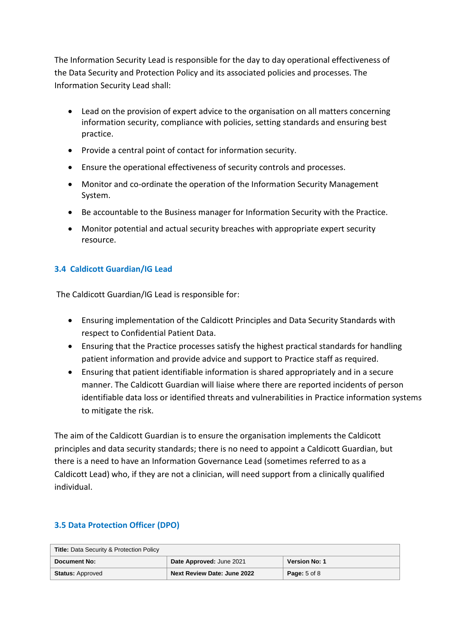The Information Security Lead is responsible for the day to day operational effectiveness of the Data Security and Protection Policy and its associated policies and processes. The Information Security Lead shall:

- Lead on the provision of expert advice to the organisation on all matters concerning information security, compliance with policies, setting standards and ensuring best practice.
- Provide a central point of contact for information security.
- Ensure the operational effectiveness of security controls and processes.
- Monitor and co-ordinate the operation of the Information Security Management System.
- Be accountable to the Business manager for Information Security with the Practice.
- Monitor potential and actual security breaches with appropriate expert security resource.

#### **3.4 Caldicott Guardian/IG Lead**

The Caldicott Guardian/IG Lead is responsible for:

- Ensuring implementation of the Caldicott Principles and Data Security Standards with respect to Confidential Patient Data.
- Ensuring that the Practice processes satisfy the highest practical standards for handling patient information and provide advice and support to Practice staff as required.
- Ensuring that patient identifiable information is shared appropriately and in a secure manner. The Caldicott Guardian will liaise where there are reported incidents of person identifiable data loss or identified threats and vulnerabilities in Practice information systems to mitigate the risk.

The aim of the Caldicott Guardian is to ensure the organisation implements the Caldicott principles and data security standards; there is no need to appoint a Caldicott Guardian, but there is a need to have an Information Governance Lead (sometimes referred to as a Caldicott Lead) who, if they are not a clinician, will need support from a clinically qualified individual.

| <b>Title: Data Security &amp; Protection Policy</b> |                                    |                         |
|-----------------------------------------------------|------------------------------------|-------------------------|
| <b>Document No:</b>                                 | Date Approved: June 2021           | <b>Version No: 1</b>    |
| <b>Status: Approved</b>                             | <b>Next Review Date: June 2022</b> | <b>Page:</b> $5$ of $8$ |

#### **3.5 Data Protection Officer (DPO)**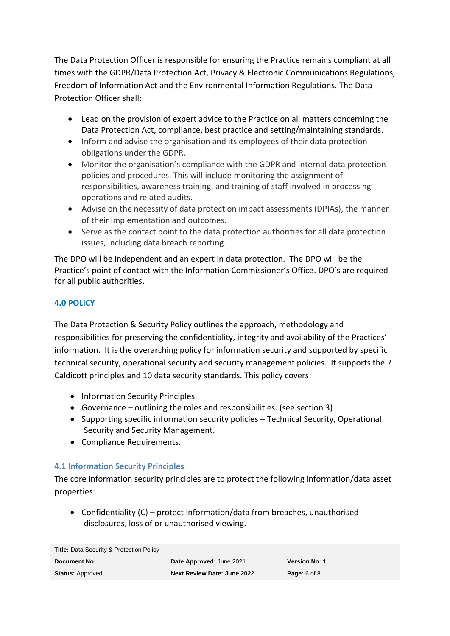The Data Protection Officer is responsible for ensuring the Practice remains compliant at all times with the GDPR/Data Protection Act, Privacy & Electronic Communications Regulations, Freedom of Information Act and the Environmental Information Regulations. The Data Protection Officer shall:

- Lead on the provision of expert advice to the Practice on all matters concerning the Data Protection Act, compliance, best practice and setting/maintaining standards.
- Inform and advise the organisation and its employees of their data protection obligations under the GDPR.
- Monitor the organisation's compliance with the GDPR and internal data protection policies and procedures. This will include monitoring the assignment of responsibilities, awareness training, and training of staff involved in processing operations and related audits.
- Advise on the necessity of data protection impact assessments (DPIAs), the manner of their implementation and outcomes.
- Serve as the contact point to the data protection authorities for all data protection issues, including data breach reporting.

The DPO will be independent and an expert in data protection. The DPO will be the Practice's point of contact with the Information Commissioner's Office. DPO's are required for all public authorities.

#### **4.0 POLICY**

The Data Protection & Security Policy outlines the approach, methodology and responsibilities for preserving the confidentiality, integrity and availability of the Practices' information. It is the overarching policy for information security and supported by specific technical security, operational security and security management policies. It supports the 7 Caldicott principles and 10 data security standards. This policy covers:

- Information Security Principles.
- Governance outlining the roles and responsibilities. (see section 3)
- Supporting specific information security policies Technical Security, Operational Security and Security Management.
- Compliance Requirements.

#### **4.1 Information Security Principles**

The core information security principles are to protect the following information/data asset properties:

• Confidentiality  $(C)$  – protect information/data from breaches, unauthorised disclosures, loss of or unauthorised viewing.

| <b>Title: Data Security &amp; Protection Policy</b> |                             |                         |
|-----------------------------------------------------|-----------------------------|-------------------------|
| Document No:                                        | Date Approved: June 2021    | <b>Version No: 1</b>    |
| <b>Status: Approved</b>                             | Next Review Date: June 2022 | <b>Page:</b> $6$ of $8$ |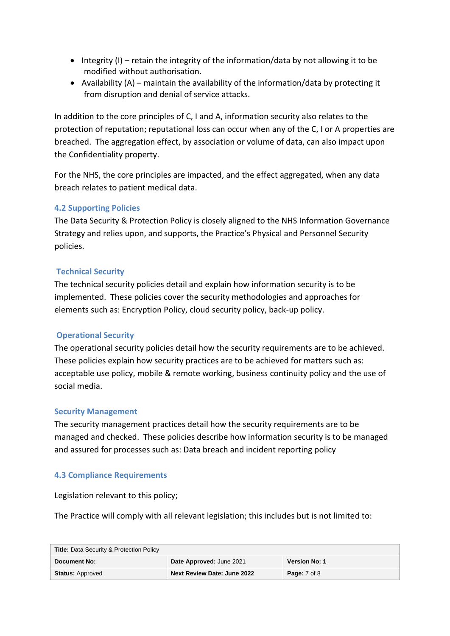- $\bullet$  Integrity (I) retain the integrity of the information/data by not allowing it to be modified without authorisation.
- Availability (A) maintain the availability of the information/data by protecting it from disruption and denial of service attacks.

In addition to the core principles of C, I and A, information security also relates to the protection of reputation; reputational loss can occur when any of the C, I or A properties are breached. The aggregation effect, by association or volume of data, can also impact upon the Confidentiality property.

For the NHS, the core principles are impacted, and the effect aggregated, when any data breach relates to patient medical data.

#### **4.2 Supporting Policies**

The Data Security & Protection Policy is closely aligned to the NHS Information Governance Strategy and relies upon, and supports, the Practice's Physical and Personnel Security policies.

#### **Technical Security**

The technical security policies detail and explain how information security is to be implemented. These policies cover the security methodologies and approaches for elements such as: Encryption Policy, cloud security policy, back-up policy.

#### **Operational Security**

The operational security policies detail how the security requirements are to be achieved. These policies explain how security practices are to be achieved for matters such as: acceptable use policy, mobile & remote working, business continuity policy and the use of social media.

#### **Security Management**

The security management practices detail how the security requirements are to be managed and checked. These policies describe how information security is to be managed and assured for processes such as: Data breach and incident reporting policy

#### **4.3 Compliance Requirements**

Legislation relevant to this policy;

The Practice will comply with all relevant legislation; this includes but is not limited to:

| <b>Title: Data Security &amp; Protection Policy</b> |                                    |                      |
|-----------------------------------------------------|------------------------------------|----------------------|
| Document No:                                        | Date Approved: June 2021           | <b>Version No: 1</b> |
| <b>Status: Approved</b>                             | <b>Next Review Date: June 2022</b> | <b>Page:</b> 7 of 8  |